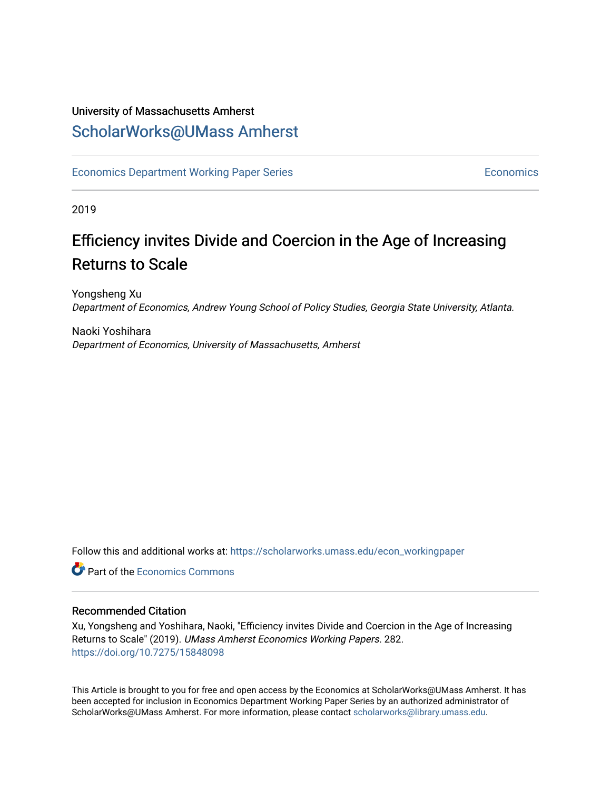# University of Massachusetts Amherst [ScholarWorks@UMass Amherst](https://scholarworks.umass.edu/)

[Economics Department Working Paper Series](https://scholarworks.umass.edu/econ_workingpaper) **Economics** [Economics](https://scholarworks.umass.edu/economics) Economics

2019

# Efficiency invites Divide and Coercion in the Age of Increasing Returns to Scale

Yongsheng Xu Department of Economics, Andrew Young School of Policy Studies, Georgia State University, Atlanta.

Naoki Yoshihara Department of Economics, University of Massachusetts, Amherst

Follow this and additional works at: [https://scholarworks.umass.edu/econ\\_workingpaper](https://scholarworks.umass.edu/econ_workingpaper?utm_source=scholarworks.umass.edu%2Fecon_workingpaper%2F282&utm_medium=PDF&utm_campaign=PDFCoverPages) 

**C** Part of the [Economics Commons](http://network.bepress.com/hgg/discipline/340?utm_source=scholarworks.umass.edu%2Fecon_workingpaper%2F282&utm_medium=PDF&utm_campaign=PDFCoverPages)

### Recommended Citation

Xu, Yongsheng and Yoshihara, Naoki, "Efficiency invites Divide and Coercion in the Age of Increasing Returns to Scale" (2019). UMass Amherst Economics Working Papers. 282. <https://doi.org/10.7275/15848098>

This Article is brought to you for free and open access by the Economics at ScholarWorks@UMass Amherst. It has been accepted for inclusion in Economics Department Working Paper Series by an authorized administrator of ScholarWorks@UMass Amherst. For more information, please contact [scholarworks@library.umass.edu.](mailto:scholarworks@library.umass.edu)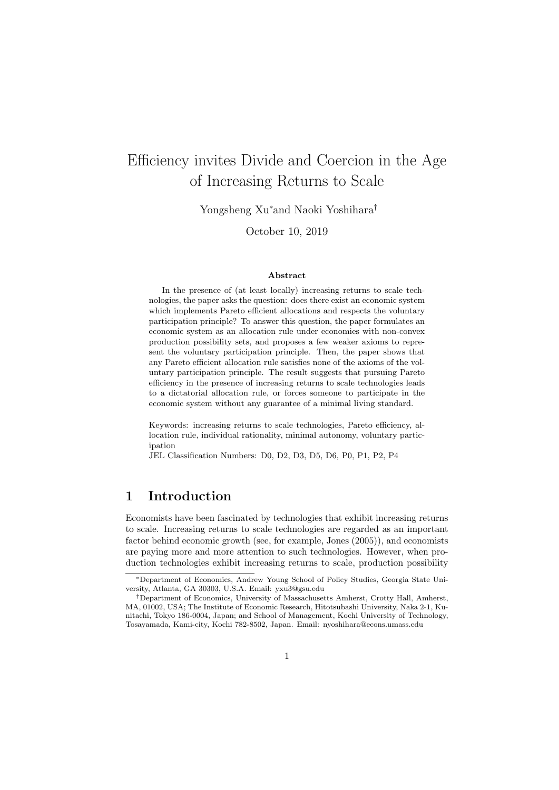# Efficiency invites Divide and Coercion in the Age of Increasing Returns to Scale

Yongsheng Xu<sup>∗</sup>and Naoki Yoshihara†

October 10, 2019

#### Abstract

In the presence of (at least locally) increasing returns to scale technologies, the paper asks the question: does there exist an economic system which implements Pareto efficient allocations and respects the voluntary participation principle? To answer this question, the paper formulates an economic system as an allocation rule under economies with non-convex production possibility sets, and proposes a few weaker axioms to represent the voluntary participation principle. Then, the paper shows that any Pareto efficient allocation rule satisfies none of the axioms of the voluntary participation principle. The result suggests that pursuing Pareto efficiency in the presence of increasing returns to scale technologies leads to a dictatorial allocation rule, or forces someone to participate in the economic system without any guarantee of a minimal living standard.

Keywords: increasing returns to scale technologies, Pareto efficiency, allocation rule, individual rationality, minimal autonomy, voluntary participation

JEL Classification Numbers: D0, D2, D3, D5, D6, P0, P1, P2, P4

## 1 Introduction

Economists have been fascinated by technologies that exhibit increasing returns to scale. Increasing returns to scale technologies are regarded as an important factor behind economic growth (see, for example, Jones (2005)), and economists are paying more and more attention to such technologies. However, when production technologies exhibit increasing returns to scale, production possibility

<sup>∗</sup>Department of Economics, Andrew Young School of Policy Studies, Georgia State University, Atlanta, GA 30303, U.S.A. Email: yxu3@gsu.edu

<sup>†</sup>Department of Economics, University of Massachusetts Amherst, Crotty Hall, Amherst, MA, 01002, USA; The Institute of Economic Research, Hitotsubashi University, Naka 2-1, Kunitachi, Tokyo 186-0004, Japan; and School of Management, Kochi University of Technology, Tosayamada, Kami-city, Kochi 782-8502, Japan. Email: nyoshihara@econs.umass.edu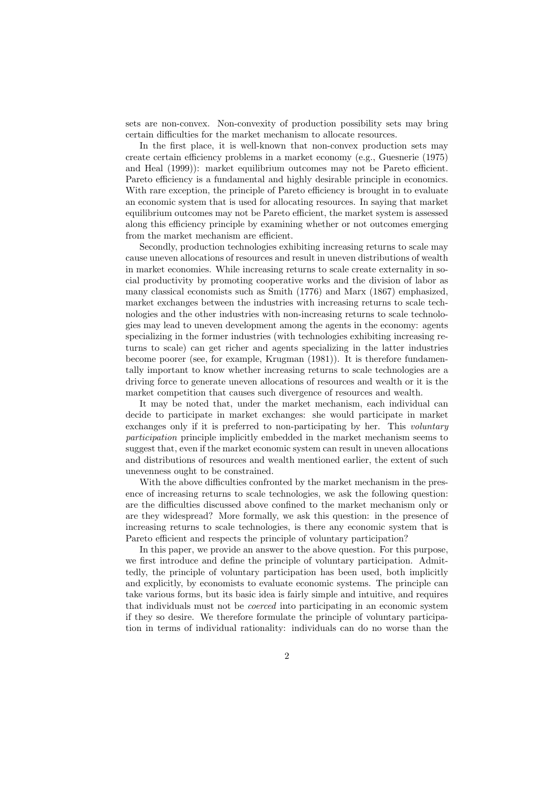sets are non-convex. Non-convexity of production possibility sets may bring certain difficulties for the market mechanism to allocate resources.

In the first place, it is well-known that non-convex production sets may create certain efficiency problems in a market economy (e.g., Guesnerie (1975) and Heal (1999)): market equilibrium outcomes may not be Pareto efficient. Pareto efficiency is a fundamental and highly desirable principle in economics. With rare exception, the principle of Pareto efficiency is brought in to evaluate an economic system that is used for allocating resources. In saying that market equilibrium outcomes may not be Pareto efficient, the market system is assessed along this efficiency principle by examining whether or not outcomes emerging from the market mechanism are efficient.

Secondly, production technologies exhibiting increasing returns to scale may cause uneven allocations of resources and result in uneven distributions of wealth in market economies. While increasing returns to scale create externality in social productivity by promoting cooperative works and the division of labor as many classical economists such as Smith (1776) and Marx (1867) emphasized, market exchanges between the industries with increasing returns to scale technologies and the other industries with non-increasing returns to scale technologies may lead to uneven development among the agents in the economy: agents specializing in the former industries (with technologies exhibiting increasing returns to scale) can get richer and agents specializing in the latter industries become poorer (see, for example, Krugman (1981)). It is therefore fundamentally important to know whether increasing returns to scale technologies are a driving force to generate uneven allocations of resources and wealth or it is the market competition that causes such divergence of resources and wealth.

It may be noted that, under the market mechanism, each individual can decide to participate in market exchanges: she would participate in market exchanges only if it is preferred to non-participating by her. This voluntary participation principle implicitly embedded in the market mechanism seems to suggest that, even if the market economic system can result in uneven allocations and distributions of resources and wealth mentioned earlier, the extent of such unevenness ought to be constrained.

With the above difficulties confronted by the market mechanism in the presence of increasing returns to scale technologies, we ask the following question: are the difficulties discussed above confined to the market mechanism only or are they widespread? More formally, we ask this question: in the presence of increasing returns to scale technologies, is there any economic system that is Pareto efficient and respects the principle of voluntary participation?

In this paper, we provide an answer to the above question. For this purpose, we first introduce and define the principle of voluntary participation. Admittedly, the principle of voluntary participation has been used, both implicitly and explicitly, by economists to evaluate economic systems. The principle can take various forms, but its basic idea is fairly simple and intuitive, and requires that individuals must not be coerced into participating in an economic system if they so desire. We therefore formulate the principle of voluntary participation in terms of individual rationality: individuals can do no worse than the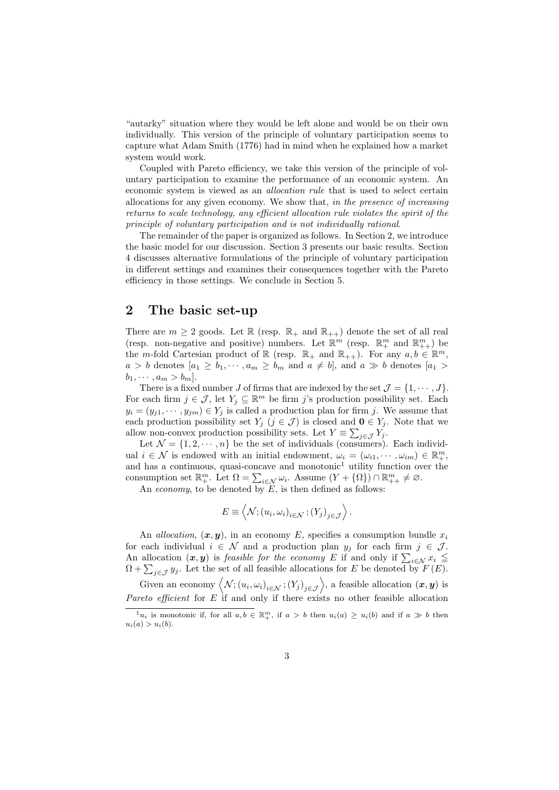"autarky" situation where they would be left alone and would be on their own individually. This version of the principle of voluntary participation seems to capture what Adam Smith (1776) had in mind when he explained how a market system would work.

Coupled with Pareto efficiency, we take this version of the principle of voluntary participation to examine the performance of an economic system. An economic system is viewed as an allocation rule that is used to select certain allocations for any given economy. We show that, in the presence of increasing returns to scale technology, any efficient allocation rule violates the spirit of the principle of voluntary participation and is not individually rational.

The remainder of the paper is organized as follows. In Section 2, we introduce the basic model for our discussion. Section 3 presents our basic results. Section 4 discusses alternative formulations of the principle of voluntary participation in different settings and examines their consequences together with the Pareto efficiency in those settings. We conclude in Section 5.

### 2 The basic set-up

There are  $m \geq 2$  goods. Let  $\mathbb{R}$  (resp.  $\mathbb{R}_+$  and  $\mathbb{R}_{++}$ ) denote the set of all real (resp. non-negative and positive) numbers. Let  $\mathbb{R}^m$  (resp.  $\mathbb{R}^m_+$  and  $\mathbb{R}^m_{++}$ ) be the *m*-fold Cartesian product of  $\mathbb{R}$  (resp.  $\mathbb{R}_+$  and  $\mathbb{R}_{++}$ ). For any  $a, b \in \mathbb{R}^m$ ,  $a > b$  denotes  $[a_1 \ge b_1, \dots, a_m \ge b_m]$  and  $a \ne b$ , and  $a \gg b$  denotes  $[a_1 > b_1]$  $b_1, \cdots, a_m > b_m$ .

There is a fixed number J of firms that are indexed by the set  $\mathcal{J} = \{1, \cdots, J\}$ . For each firm  $j \in \mathcal{J}$ , let  $Y_j \subseteq \mathbb{R}^m$  be firm j's production possibility set. Each  $y_i = (y_{j1}, \dots, y_{jm}) \in Y_j$  is called a production plan for firm j. We assume that each production possibility set  $Y_j$  ( $j \in \mathcal{J}$ ) is closed and  $\mathbf{0} \in Y_j$ . Note that we allow non-convex production possibility sets. Let  $Y \equiv \sum_{j \in \mathcal{J}} Y_j$ .

Let  $\mathcal{N} = \{1, 2, \dots, n\}$  be the set of individuals (consumers). Each individual  $i \in \mathcal{N}$  is endowed with an initial endowment,  $\omega_i = (\omega_{i1}, \dots, \omega_{im}) \in \mathbb{R}^m_+$ , and has a continuous, quasi-concave and monotonic<sup>1</sup> utility function over the consumption set  $\mathbb{R}^m_+$ . Let  $\Omega = \sum_{i \in \mathcal{N}} \omega_i$ . Assume  $(Y + {\Omega}) \cap \mathbb{R}^m_{++} \neq \emptyset$ .

An economy, to be denoted by  $E$ , is then defined as follows:

$$
E \equiv \left\langle \mathcal{N}; (u_i, \omega_i)_{i \in \mathcal{N}}; (Y_j)_{j \in \mathcal{J}} \right\rangle.
$$

An allocation,  $(x, y)$ , in an economy E, specifies a consumption bundle  $x_i$ for each individual  $i \in \mathcal{N}$  and a production plan  $y_j$  for each firm  $j \in \mathcal{J}$ . An allocation  $(x, y)$  is *feasible for the economy E* if and only if  $\sum_{i \in \mathcal{N}} x_i \leq$  $\Omega + \sum_{j \in \mathcal{J}} y_j$ . Let the set of all feasible allocations for E be denoted by  $F(E)$ .

Given an economy  $\langle \mathcal{N}; (u_i, \omega_i)_{i \in \mathcal{N}}; (Y_j)_{j \in \mathcal{J}} \rangle$ , a feasible allocation  $(x, y)$  is Pareto efficient for  $E$  if and only if there exists no other feasible allocation

 $u_i$  is monotonic if, for all  $a, b \in \mathbb{R}^m_+$ , if  $a > b$  then  $u_i(a) \geq u_i(b)$  and if  $a \gg b$  then  $u_i(a) > u_i(b)$ .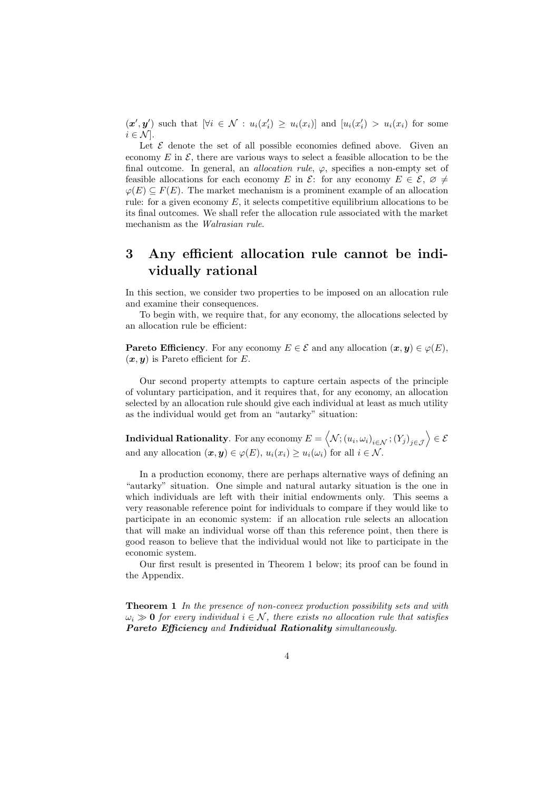$(\mathbf{x}', \mathbf{y}')$  such that  $[\forall i \in \mathcal{N} : u_i(x'_i) \geq u_i(x_i)]$  and  $[u_i(x'_i) > u_i(x_i)]$  for some  $i \in \mathcal{N}$ .

Let  $\mathcal E$  denote the set of all possible economies defined above. Given an economy  $E$  in  $\mathcal{E}$ , there are various ways to select a feasible allocation to be the final outcome. In general, an *allocation rule*,  $\varphi$ , specifies a non-empty set of feasible allocations for each economy E in  $\mathcal{E}$ : for any economy  $E \in \mathcal{E}, \varnothing \neq$  $\varphi(E) \subseteq F(E)$ . The market mechanism is a prominent example of an allocation rule: for a given economy  $E$ , it selects competitive equilibrium allocations to be its final outcomes. We shall refer the allocation rule associated with the market mechanism as the Walrasian rule.

# 3 Any efficient allocation rule cannot be individually rational

In this section, we consider two properties to be imposed on an allocation rule and examine their consequences.

To begin with, we require that, for any economy, the allocations selected by an allocation rule be efficient:

**Pareto Efficiency**. For any economy  $E \in \mathcal{E}$  and any allocation  $(\mathbf{x}, \mathbf{y}) \in \varphi(E)$ .  $(x, y)$  is Pareto efficient for E.

Our second property attempts to capture certain aspects of the principle of voluntary participation, and it requires that, for any economy, an allocation selected by an allocation rule should give each individual at least as much utility as the individual would get from an "autarky" situation:

 ${\bf Indivial \, Rationality}. \,\, \text{For any economy} \,\, E=\left\langle \mathcal{N}; \left(u_i, \omega_i\right)_{i\in\mathcal{N}}; \left(Y_j\right)_{j\in\mathcal{J}}\right\rangle\in \mathcal{E}$ and any allocation  $(\boldsymbol{x}, \boldsymbol{y}) \in \varphi(E), u_i(x_i) \geq u_i(\omega_i)$  for all  $i \in \mathcal{N}$ .

In a production economy, there are perhaps alternative ways of defining an "autarky" situation. One simple and natural autarky situation is the one in which individuals are left with their initial endowments only. This seems a very reasonable reference point for individuals to compare if they would like to participate in an economic system: if an allocation rule selects an allocation that will make an individual worse off than this reference point, then there is good reason to believe that the individual would not like to participate in the economic system.

Our first result is presented in Theorem 1 below; its proof can be found in the Appendix.

**Theorem 1** In the presence of non-convex production possibility sets and with  $\omega_i \gg 0$  for every individual  $i \in \mathcal{N}$ , there exists no allocation rule that satisfies Pareto Efficiency and Individual Rationality simultaneously.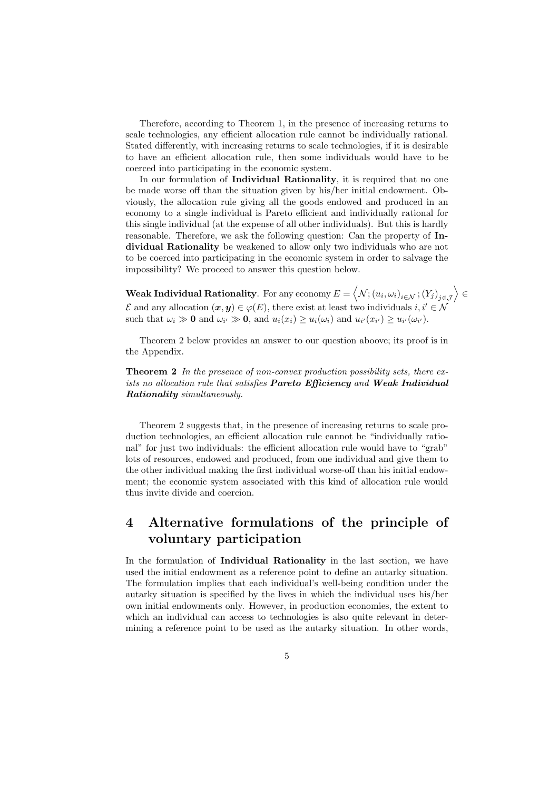Therefore, according to Theorem 1, in the presence of increasing returns to scale technologies, any efficient allocation rule cannot be individually rational. Stated differently, with increasing returns to scale technologies, if it is desirable to have an efficient allocation rule, then some individuals would have to be coerced into participating in the economic system.

In our formulation of Individual Rationality, it is required that no one be made worse off than the situation given by his/her initial endowment. Obviously, the allocation rule giving all the goods endowed and produced in an economy to a single individual is Pareto efficient and individually rational for this single individual (at the expense of all other individuals). But this is hardly reasonable. Therefore, we ask the following question: Can the property of Individual Rationality be weakened to allow only two individuals who are not to be coerced into participating in the economic system in order to salvage the impossibility? We proceed to answer this question below.

 $\textbf{Weak Individual Rationality}. \text{ For any economy } E = \left\langle \mathcal{N}; \left(u_i, \omega_i\right)_{i \in \mathcal{N}}; \left(Y_j\right)_{j \in \mathcal{J}} \right\rangle \in \mathbb{R}^{d}$ E and any allocation  $(x, y) \in \varphi(E)$ , there exist at least two individuals  $i, i' \in \mathcal{N}$ such that  $\omega_i \gg \mathbf{0}$  and  $\omega_{i'} \gg \mathbf{0}$ , and  $u_i(x_i) \geq u_i(\omega_i)$  and  $u_{i'}(x_{i'}) \geq u_{i'}(\omega_{i'})$ .

Theorem 2 below provides an answer to our question aboove; its proof is in the Appendix.

#### **Theorem 2** In the presence of non-convex production possibility sets, there exists no allocation rule that satisfies Pareto Efficiency and Weak Individual Rationality simultaneously.

Theorem 2 suggests that, in the presence of increasing returns to scale production technologies, an efficient allocation rule cannot be "individually rational" for just two individuals: the efficient allocation rule would have to "grab" lots of resources, endowed and produced, from one individual and give them to the other individual making the first individual worse-off than his initial endowment; the economic system associated with this kind of allocation rule would thus invite divide and coercion.

# 4 Alternative formulations of the principle of voluntary participation

In the formulation of Individual Rationality in the last section, we have used the initial endowment as a reference point to define an autarky situation. The formulation implies that each individual's well-being condition under the autarky situation is specified by the lives in which the individual uses his/her own initial endowments only. However, in production economies, the extent to which an individual can access to technologies is also quite relevant in determining a reference point to be used as the autarky situation. In other words,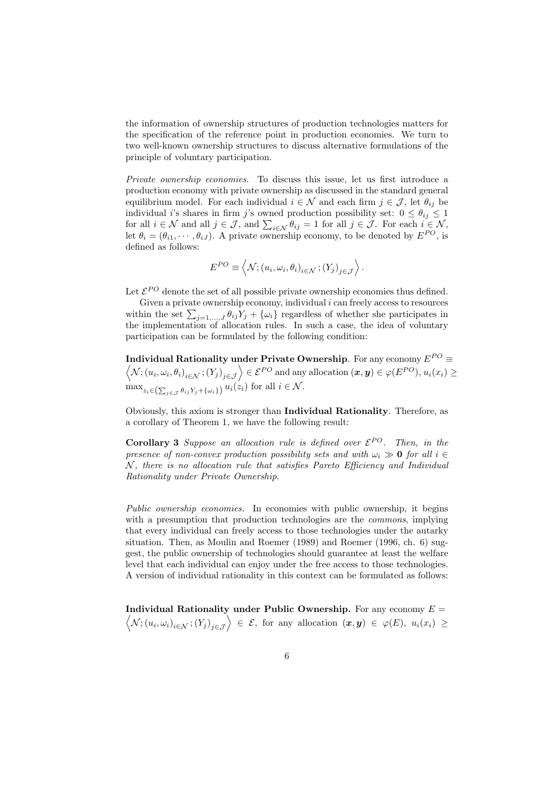the information of ownership structures of production technologies matters for the specification of the reference point in production economies. We turn to two well-known ownership structures to discuss alternative formulations of the principle of voluntary participation.

Private ownership economies. To discuss this issue, let us first introduce a production economy with private ownership as discussed in the standard general equilibrium model. For each individual  $i \in \mathcal{N}$  and each firm  $j \in \mathcal{J}$ , let  $\theta_{ij}$  be individual i's shares in firm j's owned production possibility set:  $0 \leq \theta_{ij} \leq 1$ for all  $i \in \mathcal{N}$  and all  $j \in \mathcal{J}$ , and  $\sum_{i \in \mathcal{N}} \theta_{ij} = 1$  for all  $j \in \mathcal{J}$ . For each  $i \in \mathcal{N}$ , let  $\theta_i = (\theta_{i1}, \dots, \theta_{iJ})$ . A private ownership economy, to be denoted by  $E^{PO}$ , is defined as follows:

$$
E^{PO} \equiv \left\langle \mathcal{N}; (u_i, \omega_i, \theta_i)_{i \in \mathcal{N}}; (Y_j)_{j \in \mathcal{J}} \right\rangle.
$$

Let  $\mathcal{E}^{PO}$  denote the set of all possible private ownership economies thus defined.

Given a private ownership economy, individual  $i$  can freely access to resources within the set  $\sum_{j=1,\dots,J} \theta_{ij} Y_j + \{\omega_i\}$  regardless of whether she participates in the implementation of allocation rules. In such a case, the idea of voluntary participation can be formulated by the following condition:

 $\left\langle \mathcal{N}; \left(u_i, \omega_i, \theta_i\right)_{i \in \mathcal{N}}; \left(Y_j\right)_{j \in \mathcal{J}}\right\rangle \in \mathcal{E}^{PO}$  and any allocation  $(\boldsymbol{x}, \boldsymbol{y}) \in \varphi(E^{PO}), u_i(x_i) \geq 0$ Individual Rationality under Private Ownership. For any economy  $E^{PO} \equiv$  $\max_{z_i \in (\sum_{j \in \mathcal{J}} \theta_{ij} Y_j + \{\omega_i\})} u_i(z_i)$  for all  $i \in \mathcal{N}$ .

Obviously, this axiom is stronger than Individual Rationality. Therefore, as a corollary of Theorem 1, we have the following result:

**Corollary 3** Suppose an allocation rule is defined over  $\mathcal{E}^{PO}$ . Then, in the presence of non-convex production possibility sets and with  $\omega_i \gg 0$  for all  $i \in$  $N$ , there is no allocation rule that satisfies Pareto Efficiency and Individual Rationality under Private Ownership.

Public ownership economies. In economies with public ownership, it begins with a presumption that production technologies are the *commons*, implying that every individual can freely access to those technologies under the autarky situation. Then, as Moulin and Roemer (1989) and Roemer (1996, ch. 6) suggest, the public ownership of technologies should guarantee at least the welfare level that each individual can enjoy under the free access to those technologies. A version of individual rationality in this context can be formulated as follows:

Individual Rationality under Public Ownership. For any economy  $E =$  $\Big\langle \mathcal{N}; (u_i,\omega_i)_{i\in\mathcal{N}}; (Y_j)_{j\in\mathcal{J}}\Big\rangle\ \in\ \mathcal{E}, \,\,\text{for any allocation}\,\,\, (\boldsymbol{x},\boldsymbol{y})\ \in\ \varphi(E),\,\,u_i(x_i)\ \geq$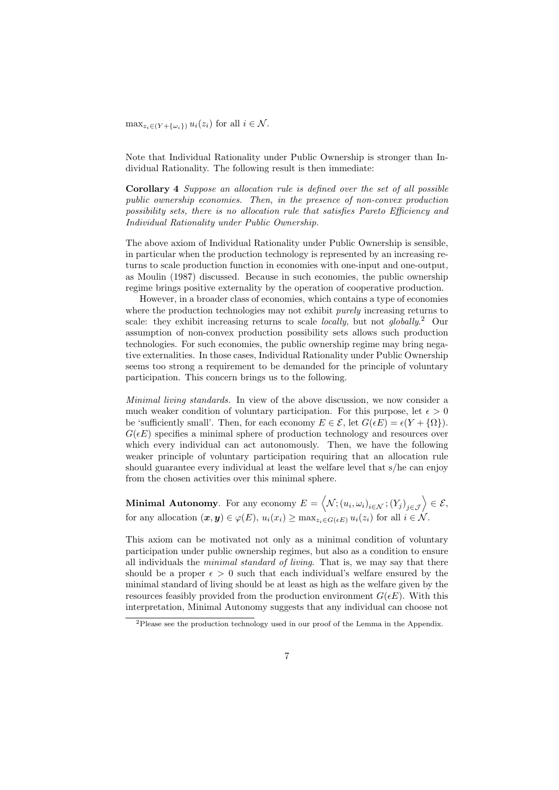$\max_{z_i \in (Y + \{\omega_i\})} u_i(z_i)$  for all  $i \in \mathcal{N}$ .

Note that Individual Rationality under Public Ownership is stronger than Individual Rationality. The following result is then immediate:

Corollary 4 Suppose an allocation rule is defined over the set of all possible public ownership economies. Then, in the presence of non-convex production possibility sets, there is no allocation rule that satisfies Pareto Efficiency and Individual Rationality under Public Ownership.

The above axiom of Individual Rationality under Public Ownership is sensible, in particular when the production technology is represented by an increasing returns to scale production function in economies with one-input and one-output, as Moulin (1987) discussed. Because in such economies, the public ownership regime brings positive externality by the operation of cooperative production.

However, in a broader class of economies, which contains a type of economies where the production technologies may not exhibit *purely* increasing returns to scale: they exhibit increasing returns to scale *locally*, but not globally.<sup>2</sup> Our assumption of non-convex production possibility sets allows such production technologies. For such economies, the public ownership regime may bring negative externalities. In those cases, Individual Rationality under Public Ownership seems too strong a requirement to be demanded for the principle of voluntary participation. This concern brings us to the following.

Minimal living standards. In view of the above discussion, we now consider a much weaker condition of voluntary participation. For this purpose, let  $\epsilon > 0$ be 'sufficiently small'. Then, for each economy  $E \in \mathcal{E}$ , let  $G(\epsilon E) = \epsilon(Y + {\Omega})$ .  $G(\epsilon E)$  specifies a minimal sphere of production technology and resources over which every individual can act autonomously. Then, we have the following weaker principle of voluntary participation requiring that an allocation rule should guarantee every individual at least the welfare level that s/he can enjoy from the chosen activities over this minimal sphere.

Minimal Autonomy. For any economy  $E = \langle \mathcal{N}; (u_i, \omega_i)_{i \in \mathcal{N}}; (Y_j)_{j \in \mathcal{J}} \rangle \in \mathcal{E}$ , for any allocation  $(\boldsymbol{x}, \boldsymbol{y}) \in \varphi(E)$ ,  $u_i(x_i) \ge \max_{z_i \in G(\epsilon E)} u_i(z_i)$  for all  $i \in \mathcal{N}$ .

This axiom can be motivated not only as a minimal condition of voluntary participation under public ownership regimes, but also as a condition to ensure all individuals the minimal standard of living. That is, we may say that there should be a proper  $\epsilon > 0$  such that each individual's welfare ensured by the minimal standard of living should be at least as high as the welfare given by the resources feasibly provided from the production environment  $G(\epsilon E)$ . With this interpretation, Minimal Autonomy suggests that any individual can choose not

<sup>2</sup>Please see the production technology used in our proof of the Lemma in the Appendix.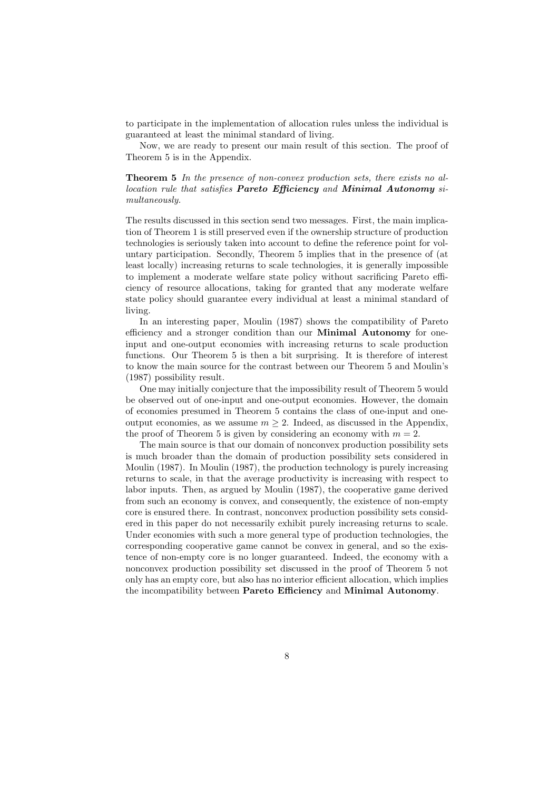to participate in the implementation of allocation rules unless the individual is guaranteed at least the minimal standard of living.

Now, we are ready to present our main result of this section. The proof of Theorem 5 is in the Appendix.

#### Theorem 5 In the presence of non-convex production sets, there exists no allocation rule that satisfies **Pareto Efficiency** and **Minimal Autonomy** simultaneously.

The results discussed in this section send two messages. First, the main implication of Theorem 1 is still preserved even if the ownership structure of production technologies is seriously taken into account to define the reference point for voluntary participation. Secondly, Theorem 5 implies that in the presence of (at least locally) increasing returns to scale technologies, it is generally impossible to implement a moderate welfare state policy without sacrificing Pareto efficiency of resource allocations, taking for granted that any moderate welfare state policy should guarantee every individual at least a minimal standard of living.

In an interesting paper, Moulin (1987) shows the compatibility of Pareto efficiency and a stronger condition than our Minimal Autonomy for oneinput and one-output economies with increasing returns to scale production functions. Our Theorem 5 is then a bit surprising. It is therefore of interest to know the main source for the contrast between our Theorem 5 and Moulin's (1987) possibility result.

One may initially conjecture that the impossibility result of Theorem 5 would be observed out of one-input and one-output economies. However, the domain of economies presumed in Theorem 5 contains the class of one-input and oneoutput economies, as we assume  $m \geq 2$ . Indeed, as discussed in the Appendix, the proof of Theorem 5 is given by considering an economy with  $m = 2$ .

The main source is that our domain of nonconvex production possibility sets is much broader than the domain of production possibility sets considered in Moulin (1987). In Moulin (1987), the production technology is purely increasing returns to scale, in that the average productivity is increasing with respect to labor inputs. Then, as argued by Moulin (1987), the cooperative game derived from such an economy is convex, and consequently, the existence of non-empty core is ensured there. In contrast, nonconvex production possibility sets considered in this paper do not necessarily exhibit purely increasing returns to scale. Under economies with such a more general type of production technologies, the corresponding cooperative game cannot be convex in general, and so the existence of non-empty core is no longer guaranteed. Indeed, the economy with a nonconvex production possibility set discussed in the proof of Theorem 5 not only has an empty core, but also has no interior efficient allocation, which implies the incompatibility between Pareto Efficiency and Minimal Autonomy.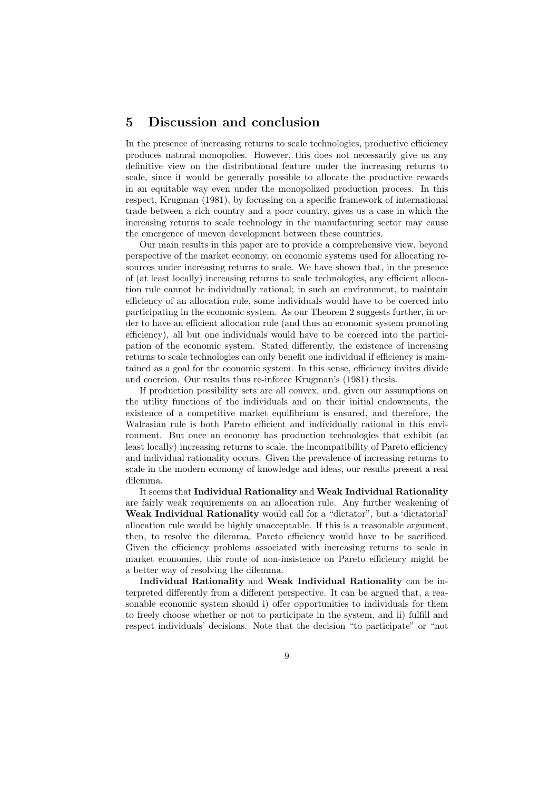## 5 Discussion and conclusion

In the presence of increasing returns to scale technologies, productive efficiency produces natural monopolies. However, this does not necessarily give us any definitive view on the distributional feature under the increasing returns to scale, since it would be generally possible to allocate the productive rewards in an equitable way even under the monopolized production process. In this respect, Krugman (1981), by focussing on a specific framework of international trade between a rich country and a poor country, gives us a case in which the increasing returns to scale technology in the manufacturing sector may cause the emergence of uneven development between these countries.

Our main results in this paper are to provide a comprehensive view, beyond perspective of the market economy, on economic systems used for allocating resources under increasing returns to scale. We have shown that, in the presence of (at least locally) increasing returns to scale technologies, any efficient allocation rule cannot be individually rational; in such an environment, to maintain efficiency of an allocation rule, some individuals would have to be coerced into participating in the economic system. As our Theorem 2 suggests further, in order to have an efficient allocation rule (and thus an economic system promoting efficiency), all but one individuals would have to be coerced into the participation of the economic system. Stated differently, the existence of increasing returns to scale technologies can only benefit one individual if efficiency is maintained as a goal for the economic system. In this sense, efficiency invites divide and coercion. Our results thus re-inforce Krugman's (1981) thesis.

If production possibility sets are all convex, and, given our assumptions on the utility functions of the individuals and on their initial endowments, the existence of a competitive market equilibrium is ensured, and therefore, the Walrasian rule is both Pareto efficient and individually rational in this environment. But once an economy has production technologies that exhibit (at least locally) increasing returns to scale, the incompatibility of Pareto efficiency and individual rationality occurs. Given the prevalence of increasing returns to scale in the modern economy of knowledge and ideas, our results present a real dilemma.

It seems that Individual Rationality and Weak Individual Rationality are fairly weak requirements on an allocation rule. Any further weakening of Weak Individual Rationality would call for a "dictator", but a 'dictatorial' allocation rule would be highly unacceptable. If this is a reasonable argument, then, to resolve the dilemma, Pareto efficiency would have to be sacrificed. Given the efficiency problems associated with increasing returns to scale in market economies, this route of non-insistence on Pareto efficiency might be a better way of resolving the dilemma.

Individual Rationality and Weak Individual Rationality can be interpreted differently from a different perspective. It can be argued that, a reasonable economic system should i) offer opportunities to individuals for them to freely choose whether or not to participate in the system, and ii) fulfill and respect individuals' decisions. Note that the decision "to participate" or "not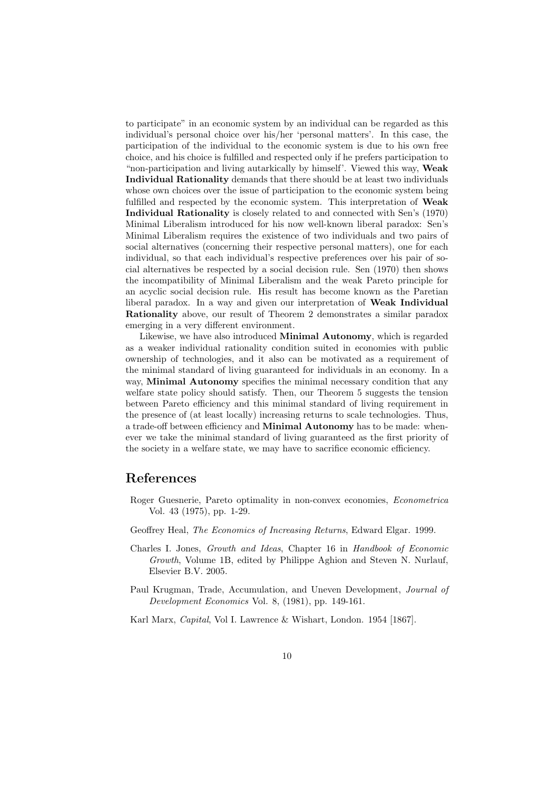to participate" in an economic system by an individual can be regarded as this individual's personal choice over his/her 'personal matters'. In this case, the participation of the individual to the economic system is due to his own free choice, and his choice is fulfilled and respected only if he prefers participation to "non-participation and living autarkically by himself'. Viewed this way, Weak Individual Rationality demands that there should be at least two individuals whose own choices over the issue of participation to the economic system being fulfilled and respected by the economic system. This interpretation of Weak Individual Rationality is closely related to and connected with Sen's (1970) Minimal Liberalism introduced for his now well-known liberal paradox: Sen's Minimal Liberalism requires the existence of two individuals and two pairs of social alternatives (concerning their respective personal matters), one for each individual, so that each individual's respective preferences over his pair of social alternatives be respected by a social decision rule. Sen (1970) then shows the incompatibility of Minimal Liberalism and the weak Pareto principle for an acyclic social decision rule. His result has become known as the Paretian liberal paradox. In a way and given our interpretation of Weak Individual Rationality above, our result of Theorem 2 demonstrates a similar paradox emerging in a very different environment.

Likewise, we have also introduced Minimal Autonomy, which is regarded as a weaker individual rationality condition suited in economies with public ownership of technologies, and it also can be motivated as a requirement of the minimal standard of living guaranteed for individuals in an economy. In a way, Minimal Autonomy specifies the minimal necessary condition that any welfare state policy should satisfy. Then, our Theorem 5 suggests the tension between Pareto efficiency and this minimal standard of living requirement in the presence of (at least locally) increasing returns to scale technologies. Thus, a trade-off between efficiency and Minimal Autonomy has to be made: whenever we take the minimal standard of living guaranteed as the first priority of the society in a welfare state, we may have to sacrifice economic efficiency.

#### References

- Roger Guesnerie, Pareto optimality in non-convex economies, Econometrica Vol. 43 (1975), pp. 1-29.
- Geoffrey Heal, The Economics of Increasing Returns, Edward Elgar. 1999.
- Charles I. Jones, Growth and Ideas, Chapter 16 in Handbook of Economic Growth, Volume 1B, edited by Philippe Aghion and Steven N. Nurlauf, Elsevier B.V. 2005.
- Paul Krugman, Trade, Accumulation, and Uneven Development, Journal of Development Economics Vol. 8, (1981), pp. 149-161.

Karl Marx, Capital, Vol I. Lawrence & Wishart, London. 1954 [1867].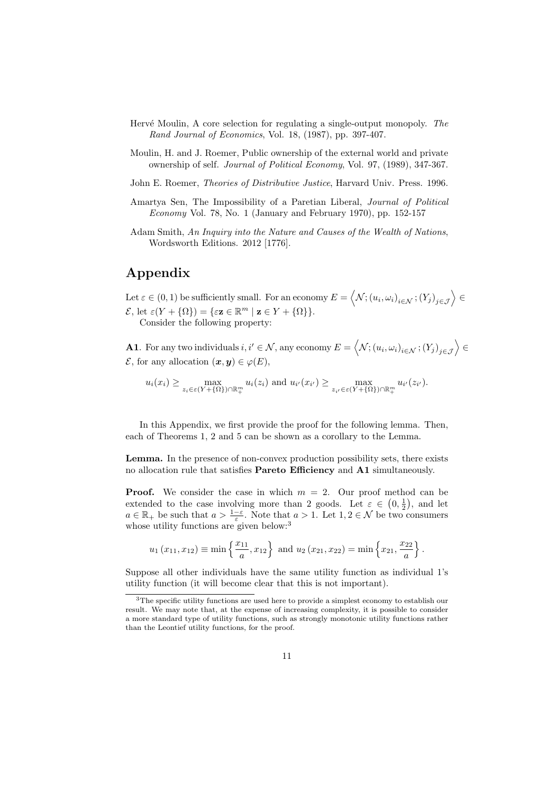- Hervé Moulin, A core selection for regulating a single-output monopoly. The Rand Journal of Economics, Vol. 18, (1987), pp. 397-407.
- Moulin, H. and J. Roemer, Public ownership of the external world and private ownership of self. Journal of Political Economy, Vol. 97, (1989), 347-367.
- John E. Roemer, Theories of Distributive Justice, Harvard Univ. Press. 1996.
- Amartya Sen, The Impossibility of a Paretian Liberal, Journal of Political Economy Vol. 78, No. 1 (January and February 1970), pp. 152-157
- Adam Smith, An Inquiry into the Nature and Causes of the Wealth of Nations, Wordsworth Editions. 2012 [1776].

# Appendix

Let  $\varepsilon \in (0,1)$  be sufficiently small. For an economy  $E = \langle \mathcal{N}; (u_i, \omega_i)_{i \in \mathcal{N}}; (Y_j)_{j \in \mathcal{J}} \rangle \in$  $\mathcal{E}, \text{ let } \varepsilon(Y + {\Omega}) = {\varepsilon \mathbf{z} \in \mathbb{R}^m \mid \mathbf{z} \in Y + {\Omega}}.$ Consider the following property:

**A1**. For any two individuals  $i, i' \in \mathcal{N}$ , any economy  $E = \langle \mathcal{N}; (u_i, \omega_i)_{i \in \mathcal{N}}; (Y_j)_{j \in \mathcal{J}} \rangle \in$  $\mathcal{E}$ , for any allocation  $(\boldsymbol{x}, \boldsymbol{y}) \in \varphi(E)$ ,

$$
u_i(x_i) \geq \max_{z_i \in \varepsilon(Y+\{\Omega\}) \cap \mathbb{R}^m_+} u_i(z_i) \text{ and } u_{i'}(x_{i'}) \geq \max_{z_{i'} \in \varepsilon(Y+\{\Omega\}) \cap \mathbb{R}^m_+} u_{i'}(z_{i'}).
$$

In this Appendix, we first provide the proof for the following lemma. Then, each of Theorems 1, 2 and 5 can be shown as a corollary to the Lemma.

Lemma. In the presence of non-convex production possibility sets, there exists no allocation rule that satisfies Pareto Efficiency and A1 simultaneously.

**Proof.** We consider the case in which  $m = 2$ . Our proof method can be extended to the case involving more than 2 goods. Let  $\varepsilon \in (0, \frac{1}{2})$ , and let  $a \in \mathbb{R}_+$  be such that  $a > \frac{1-\varepsilon}{\varepsilon}$ . Note that  $a > 1$ . Let  $1, 2 \in \mathcal{N}$  be two consumers whose utility functions are given below:<sup>3</sup>

$$
u_1(x_{11}, x_{12}) \equiv \min\left\{\frac{x_{11}}{a}, x_{12}\right\}
$$
 and  $u_2(x_{21}, x_{22}) = \min\left\{x_{21}, \frac{x_{22}}{a}\right\}$ .

Suppose all other individuals have the same utility function as individual 1's utility function (it will become clear that this is not important).

<sup>3</sup>The specific utility functions are used here to provide a simplest economy to establish our result. We may note that, at the expense of increasing complexity, it is possible to consider a more standard type of utility functions, such as strongly monotonic utility functions rather than the Leontief utility functions, for the proof.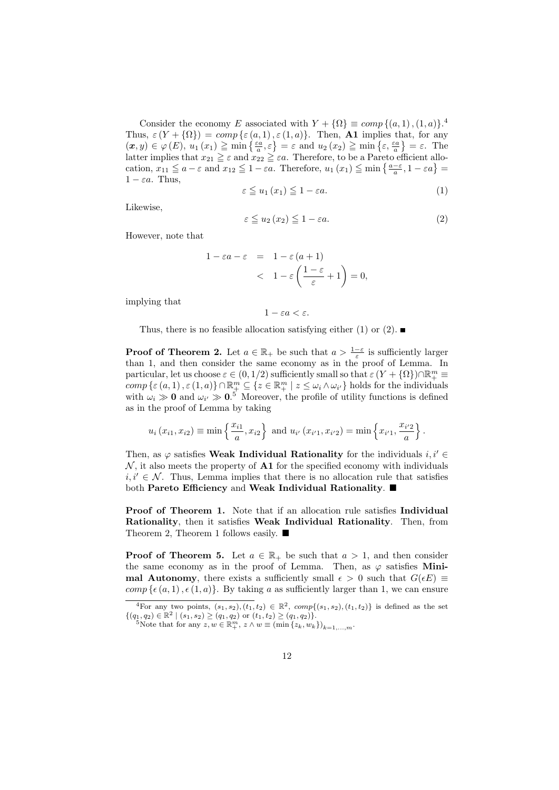Consider the economy E associated with  $Y + {\Omega} \equiv comp{(a,1), (1, a)}$ . Thus,  $\varepsilon(Y + {\Omega}) = comp\{\varepsilon(a, 1), \varepsilon(1, a)\}.$  Then, **A1** implies that, for any  $(x, y) \in \varphi(E), u_1(x_1) \ge \min\left\{\frac{\varepsilon a}{a}, \varepsilon\right\} = \varepsilon \text{ and } u_2(x_2) \ge \min\left\{\varepsilon, \frac{\varepsilon a}{a}\right\} = \varepsilon.$  The latter implies that  $x_{21} \geq \varepsilon$  and  $x_{22} \geq \varepsilon a$ . Therefore, to be a Pareto efficient allocation,  $x_{11} \leq a - \varepsilon$  and  $x_{12} \leq 1 - \varepsilon a$ . Therefore,  $u_1(x_1) \leq \min\left\{\frac{a-\varepsilon}{a}, 1 - \varepsilon a\right\}$  $1 - \varepsilon a$ . Thus,

$$
\varepsilon \leqq u_1(x_1) \leqq 1 - \varepsilon a. \tag{1}
$$

Likewise,

$$
\varepsilon \leqq u_2(x_2) \leqq 1 - \varepsilon a. \tag{2}
$$

However, note that

$$
1 - \varepsilon a - \varepsilon = 1 - \varepsilon (a + 1)
$$
  

$$
< 1 - \varepsilon \left( \frac{1 - \varepsilon}{\varepsilon} + 1 \right) = 0,
$$

implying that

 $1 - \varepsilon a < \varepsilon$ .

Thus, there is no feasible allocation satisfying either (1) or (2).

**Proof of Theorem 2.** Let  $a \in \mathbb{R}_+$  be such that  $a > \frac{1-\varepsilon}{\varepsilon}$  is sufficiently larger than 1, and then consider the same economy as in the proof of Lemma. In particular, let us choose  $\varepsilon \in (0, 1/2)$  sufficiently small so that  $\varepsilon (Y + {\Omega}) \cap \mathbb{R}^m_+$ comp  $\{\varepsilon(a,1), \varepsilon(1,a)\} \cap \mathbb{R}^m_+ \subseteq \{z \in \mathbb{R}^m_+ \mid z \leq \omega_i \wedge \omega_{i'}\}$  holds for the individuals with  $\omega_i \gg 0$  and  $\omega_{i'} \gg 0$ .<sup>5</sup> Moreover, the profile of utility functions is defined as in the proof of Lemma by taking

$$
u_i(x_{i1}, x_{i2}) \equiv \min \left\{ \frac{x_{i1}}{a}, x_{i2} \right\}
$$
 and  $u_{i'}(x_{i'1}, x_{i'2}) = \min \left\{ x_{i'1}, \frac{x_{i'2}}{a} \right\}$ .

Then, as  $\varphi$  satisfies Weak Individual Rationality for the individuals  $i, i' \in \mathbb{R}$  $\mathcal N$ , it also meets the property of  $A1$  for the specified economy with individuals  $i, i' \in \mathcal{N}$ . Thus, Lemma implies that there is no allocation rule that satisfies both Pareto Efficiency and Weak Individual Rationality.

Proof of Theorem 1. Note that if an allocation rule satisfies Individual Rationality, then it satisfies Weak Individual Rationality. Then, from Theorem 2, Theorem 1 follows easily.  $\blacksquare$ 

**Proof of Theorem 5.** Let  $a \in \mathbb{R}_+$  be such that  $a > 1$ , and then consider the same economy as in the proof of Lemma. Then, as  $\varphi$  satisfies Minimal Autonomy, there exists a sufficiently small  $\epsilon > 0$  such that  $G(\epsilon E) \equiv$  $comp \{ \epsilon(a, 1), \epsilon(1, a) \}.$  By taking a as sufficiently larger than 1, we can ensure

<sup>&</sup>lt;sup>4</sup>For any two points,  $(s_1, s_2), (t_1, t_2) \in \mathbb{R}^2$ ,  $comp{(s_1, s_2), (t_1, t_2)}$  is defined as the set  $\{(q_1, q_2) \in \mathbb{R}^2 \mid (s_1, s_2) \geq (q_1, q_2) \text{ or } (t_1, t_2) \geq (q_1, q_2)\}\$ <br>  $\text{Note that for any } z, w \in \mathbb{R}_+^m, z \wedge w \equiv (\min\{z_k, w_k\})_{k=1,\dots,m}.$